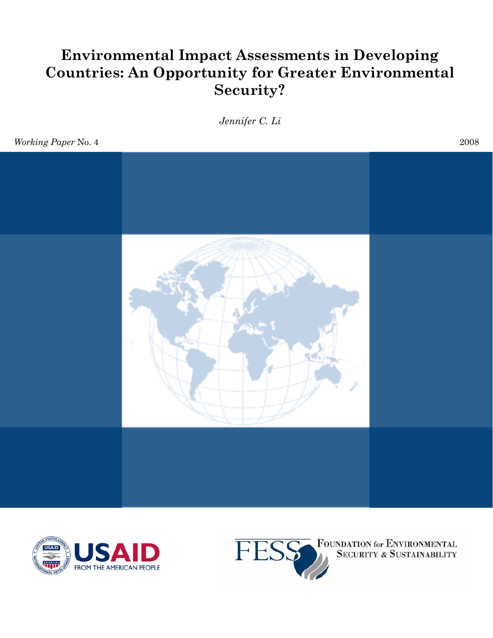# **Environmental Impact Assessments in Developing Countries: An Opportunity for Greater Environmental Security?**

*Jennifer C. Li* 

*Working Paper* No. 4 2008







**FOUNDATION for ENVIRONMENTAL**<br>SECURITY & SUSTAINABILITY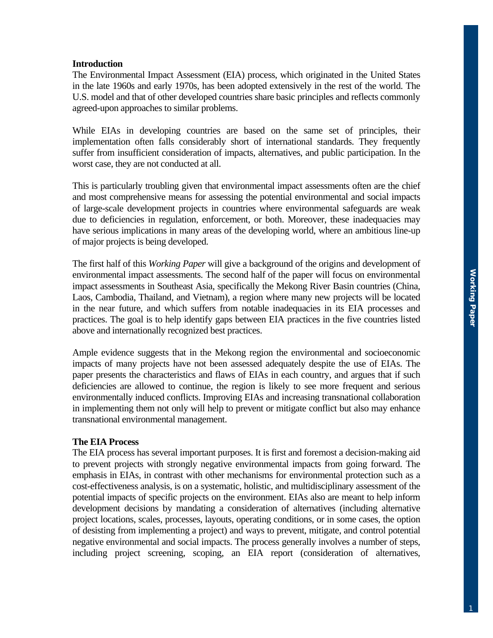## **Introduction**

The Environmental Impact Assessment (EIA) process, which originated in the United States in the late 1960s and early 1970s, has been adopted extensively in the rest of the world. The U.S. model and that of other developed countries share basic principles and reflects commonly agreed-upon approaches to similar problems.

While EIAs in developing countries are based on the same set of principles, their implementation often falls considerably short of international standards. They frequently suffer from insufficient consideration of impacts, alternatives, and public participation. In the worst case, they are not conducted at all.

This is particularly troubling given that environmental impact assessments often are the chief and most comprehensive means for assessing the potential environmental and social impacts of large-scale development projects in countries where environmental safeguards are weak due to deficiencies in regulation, enforcement, or both. Moreover, these inadequacies may have serious implications in many areas of the developing world, where an ambitious line-up of major projects is being developed.

The first half of this *Working Paper* will give a background of the origins and development of environmental impact assessments. The second half of the paper will focus on environmental impact assessments in Southeast Asia, specifically the Mekong River Basin countries (China, Laos, Cambodia, Thailand, and Vietnam), a region where many new projects will be located in the near future, and which suffers from notable inadequacies in its EIA processes and practices. The goal is to help identify gaps between EIA practices in the five countries listed above and internationally recognized best practices.

Ample evidence suggests that in the Mekong region the environmental and socioeconomic impacts of many projects have not been assessed adequately despite the use of EIAs. The paper presents the characteristics and flaws of EIAs in each country, and argues that if such deficiencies are allowed to continue, the region is likely to see more frequent and serious environmentally induced conflicts. Improving EIAs and increasing transnational collaboration in implementing them not only will help to prevent or mitigate conflict but also may enhance transnational environmental management.

## **The EIA Process**

The EIA process has several important purposes. It is first and foremost a decision-making aid to prevent projects with strongly negative environmental impacts from going forward. The emphasis in EIAs, in contrast with other mechanisms for environmental protection such as a cost-effectiveness analysis, is on a systematic, holistic, and multidisciplinary assessment of the potential impacts of specific projects on the environment. EIAs also are meant to help inform development decisions by mandating a consideration of alternatives (including alternative project locations, scales, processes, layouts, operating conditions, or in some cases, the option of desisting from implementing a project) and ways to prevent, mitigate, and control potential negative environmental and social impacts. The process generally involves a number of steps, including project screening, scoping, an EIA report (consideration of alternatives,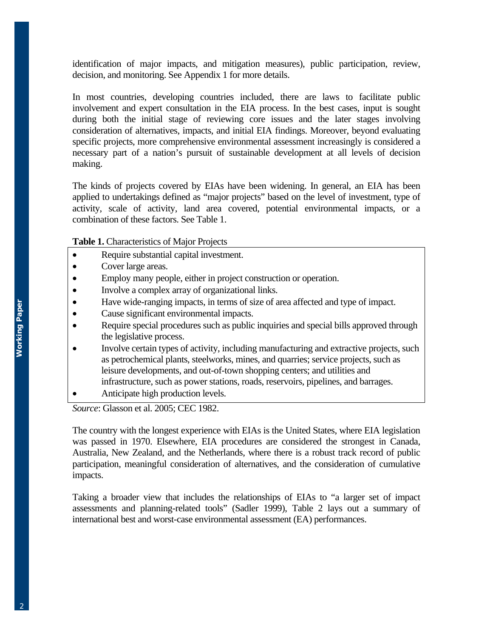identification of major impacts, and mitigation measures), public participation, review, decision, and monitoring. See Appendix 1 for more details.

In most countries, developing countries included, there are laws to facilitate public involvement and expert consultation in the EIA process. In the best cases, input is sought during both the initial stage of reviewing core issues and the later stages involving consideration of alternatives, impacts, and initial EIA findings. Moreover, beyond evaluating specific projects, more comprehensive environmental assessment increasingly is considered a necessary part of a nation's pursuit of sustainable development at all levels of decision making.

The kinds of projects covered by EIAs have been widening. In general, an EIA has been applied to undertakings defined as "major projects" based on the level of investment, type of activity, scale of activity, land area covered, potential environmental impacts, or a combination of these factors. See Table 1.

**Table 1.** Characteristics of Major Projects

- Require substantial capital investment.
- Cover large areas.
- Employ many people, either in project construction or operation.
- Involve a complex array of organizational links.
- Have wide-ranging impacts, in terms of size of area affected and type of impact.
- Cause significant environmental impacts.
- Require special procedures such as public inquiries and special bills approved through the legislative process.
- Involve certain types of activity, including manufacturing and extractive projects, such as petrochemical plants, steelworks, mines, and quarries; service projects, such as leisure developments, and out-of-town shopping centers; and utilities and infrastructure, such as power stations, roads, reservoirs, pipelines, and barrages.
- Anticipate high production levels.

*Source*: Glasson et al. 2005; CEC 1982.

The country with the longest experience with EIAs is the United States, where EIA legislation was passed in 1970. Elsewhere, EIA procedures are considered the strongest in Canada, Australia, New Zealand, and the Netherlands, where there is a robust track record of public participation, meaningful consideration of alternatives, and the consideration of cumulative impacts.

Taking a broader view that includes the relationships of EIAs to "a larger set of impact assessments and planning-related tools" (Sadler 1999), Table 2 lays out a summary of international best and worst-case environmental assessment (EA) performances.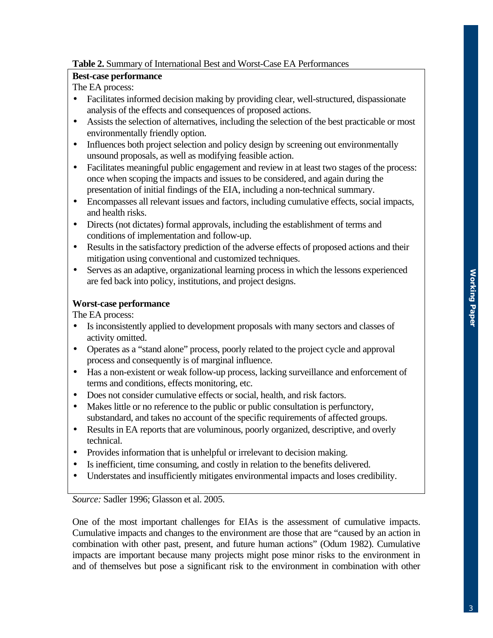# **Table 2.** Summary of International Best and Worst-Case EA Performances

# **Best-case performance**

The EA process:

- Facilitates informed decision making by providing clear, well-structured, dispassionate analysis of the effects and consequences of proposed actions.
- Assists the selection of alternatives, including the selection of the best practicable or most environmentally friendly option.
- Influences both project selection and policy design by screening out environmentally unsound proposals, as well as modifying feasible action.
- Facilitates meaningful public engagement and review in at least two stages of the process: once when scoping the impacts and issues to be considered, and again during the presentation of initial findings of the EIA, including a non-technical summary.
- Encompasses all relevant issues and factors, including cumulative effects, social impacts, and health risks.
- Directs (not dictates) formal approvals, including the establishment of terms and conditions of implementation and follow-up.
- Results in the satisfactory prediction of the adverse effects of proposed actions and their mitigation using conventional and customized techniques.
- Serves as an adaptive, organizational learning process in which the lessons experienced are fed back into policy, institutions, and project designs.

# **Worst-case performance**

The EA process:

- Is inconsistently applied to development proposals with many sectors and classes of activity omitted.
- Operates as a "stand alone" process, poorly related to the project cycle and approval process and consequently is of marginal influence.
- Has a non-existent or weak follow-up process, lacking surveillance and enforcement of terms and conditions, effects monitoring, etc.
- Does not consider cumulative effects or social, health, and risk factors.
- Makes little or no reference to the public or public consultation is perfunctory, substandard, and takes no account of the specific requirements of affected groups.
- Results in EA reports that are voluminous, poorly organized, descriptive, and overly technical.
- Provides information that is unhelpful or irrelevant to decision making.
- Is inefficient, time consuming, and costly in relation to the benefits delivered.
- Understates and insufficiently mitigates environmental impacts and loses credibility.

*Source:* Sadler 1996; Glasson et al. 2005.

One of the most important challenges for EIAs is the assessment of cumulative impacts. Cumulative impacts and changes to the environment are those that are "caused by an action in combination with other past, present, and future human actions" (Odum 1982). Cumulative impacts are important because many projects might pose minor risks to the environment in and of themselves but pose a significant risk to the environment in combination with other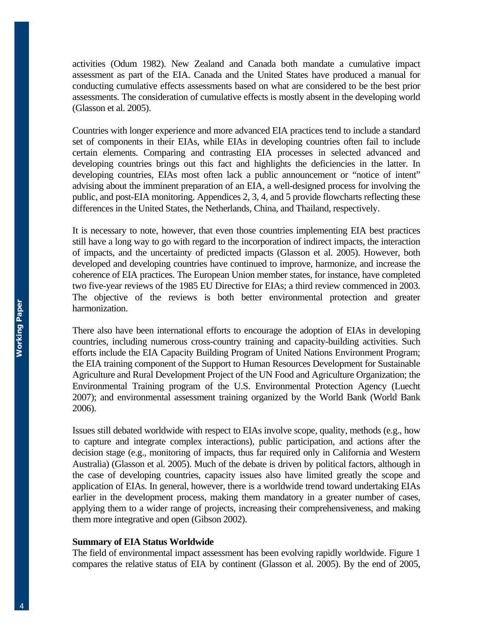activities (Odum 1982). New Zealand and Canada both mandate a cumulative impact assessment as part of the EIA. Canada and the United States have produced a manual for conducting cumulative effects assessments based on what are considered to be the best prior assessments. The consideration of cumulative effects is mostly absent in the developing world (Glasson et al. 2005).

Countries with longer experience and more advanced EIA practices tend to include a standard set of components in their EIAs, while EIAs in developing countries often fail to include certain elements. Comparing and contrasting EIA processes in selected advanced and developing countries brings out this fact and highlights the deficiencies in the latter. In developing countries, EIAs most often lack a public announcement or "notice of intent" advising about the imminent preparation of an EIA, a well-designed process for involving the public, and post-EIA monitoring. Appendices 2, 3, 4, and 5 provide flowcharts reflecting these differences in the United States, the Netherlands, China, and Thailand, respectively.

It is necessary to note, however, that even those countries implementing EIA best practices still have a long way to go with regard to the incorporation of indirect impacts, the interaction of impacts, and the uncertainty of predicted impacts (Glasson et al. 2005). However, both developed and developing countries have continued to improve, harmonize, and increase the coherence of EIA practices. The European Union member states, for instance, have completed two five-year reviews of the 1985 EU Directive for EIAs; a third review commenced in 2003. The objective of the reviews is both better environmental protection and greater harmonization.

There also have been international efforts to encourage the adoption of EIAs in developing countries, including numerous cross-country training and capacity-building activities. Such efforts include the EIA Capacity Building Program of United Nations Environment Program; the EIA training component of the Support to Human Resources Development for Sustainable Agriculture and Rural Development Project of the UN Food and Agriculture Organization; the Environmental Training program of the U.S. Environmental Protection Agency (Luecht 2007); and environmental assessment training organized by the World Bank (World Bank 2006).

Issues still debated worldwide with respect to EIAs involve scope, quality, methods (e.g., how to capture and integrate complex interactions), public participation, and actions after the decision stage (e.g., monitoring of impacts, thus far required only in California and Western Australia) (Glasson et al. 2005). Much of the debate is driven by political factors, although in the case of developing countries, capacity issues also have limited greatly the scope and application of EIAs. In general, however, there is a worldwide trend toward undertaking EIAs earlier in the development process, making them mandatory in a greater number of cases, applying them to a wider range of projects, increasing their comprehensiveness, and making them more integrative and open (Gibson 2002).

#### **Summary of EIA Status Worldwide**

The field of environmental impact assessment has been evolving rapidly worldwide. Figure 1 compares the relative status of EIA by continent (Glasson et al. 2005). By the end of 2005,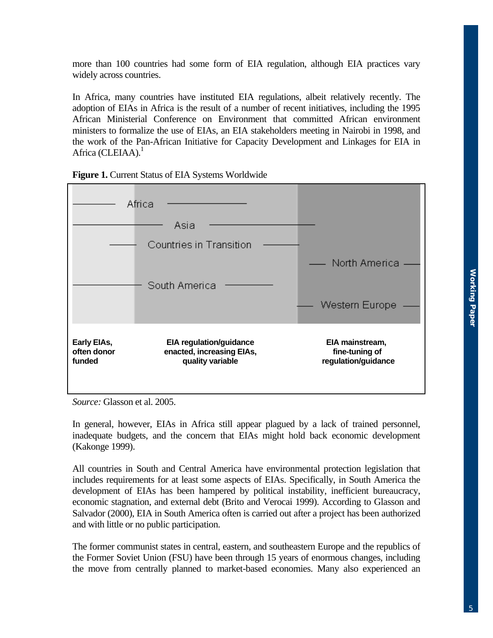more than 100 countries had some form of EIA regulation, although EIA practices vary widely across countries.

In Africa, many countries have instituted EIA regulations, albeit relatively recently. The adoption of EIAs in Africa is the result of a number of recent initiatives, including the 1995 African Ministerial Conference on Environment that committed African environment ministers to formalize the use of EIAs, an EIA stakeholders meeting in Nairobi in 1998, and the work of the Pan-African Initiative for Capacity Development and Linkages for EIA in Africa (CLEIAA). $<sup>1</sup>$ </sup>





*Source:* Glasson et al. 2005.

In general, however, EIAs in Africa still appear plagued by a lack of trained personnel, inadequate budgets, and the concern that EIAs might hold back economic development (Kakonge 1999).

All countries in South and Central America have environmental protection legislation that includes requirements for at least some aspects of EIAs. Specifically, in South America the development of EIAs has been hampered by political instability, inefficient bureaucracy, economic stagnation, and external debt (Brito and Verocai 1999). According to Glasson and Salvador (2000), EIA in South America often is carried out after a project has been authorized and with little or no public participation.

The former communist states in central, eastern, and southeastern Europe and the republics of the Former Soviet Union (FSU) have been through 15 years of enormous changes, including the move from centrally planned to market-based economies. Many also experienced an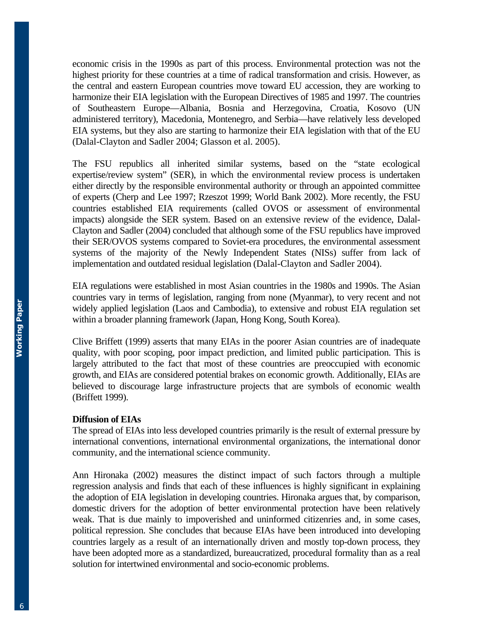economic crisis in the 1990s as part of this process. Environmental protection was not the highest priority for these countries at a time of radical transformation and crisis. However, as the central and eastern European countries move toward EU accession, they are working to harmonize their EIA legislation with the European Directives of 1985 and 1997. The countries of Southeastern Europe—Albania, Bosnia and Herzegovina, Croatia, Kosovo (UN administered territory), Macedonia, Montenegro, and Serbia—have relatively less developed EIA systems, but they also are starting to harmonize their EIA legislation with that of the EU (Dalal-Clayton and Sadler 2004; Glasson et al. 2005).

The FSU republics all inherited similar systems, based on the "state ecological expertise/review system" (SER), in which the environmental review process is undertaken either directly by the responsible environmental authority or through an appointed committee of experts (Cherp and Lee 1997; Rzeszot 1999; World Bank 2002). More recently, the FSU countries established EIA requirements (called OVOS or assessment of environmental impacts) alongside the SER system. Based on an extensive review of the evidence, Dalal-Clayton and Sadler (2004) concluded that although some of the FSU republics have improved their SER/OVOS systems compared to Soviet-era procedures, the environmental assessment systems of the majority of the Newly Independent States (NISs) suffer from lack of implementation and outdated residual legislation (Dalal-Clayton and Sadler 2004).

EIA regulations were established in most Asian countries in the 1980s and 1990s. The Asian countries vary in terms of legislation, ranging from none (Myanmar), to very recent and not widely applied legislation (Laos and Cambodia), to extensive and robust EIA regulation set within a broader planning framework (Japan, Hong Kong, South Korea).

Clive Briffett (1999) asserts that many EIAs in the poorer Asian countries are of inadequate quality, with poor scoping, poor impact prediction, and limited public participation. This is largely attributed to the fact that most of these countries are preoccupied with economic growth, and EIAs are considered potential brakes on economic growth. Additionally, EIAs are believed to discourage large infrastructure projects that are symbols of economic wealth (Briffett 1999).

#### **Diffusion of EIAs**

The spread of EIAs into less developed countries primarily is the result of external pressure by international conventions, international environmental organizations, the international donor community, and the international science community.

Ann Hironaka (2002) measures the distinct impact of such factors through a multiple regression analysis and finds that each of these influences is highly significant in explaining the adoption of EIA legislation in developing countries. Hironaka argues that, by comparison, domestic drivers for the adoption of better environmental protection have been relatively weak. That is due mainly to impoverished and uninformed citizenries and, in some cases, political repression. She concludes that because EIAs have been introduced into developing countries largely as a result of an internationally driven and mostly top-down process, they have been adopted more as a standardized, bureaucratized, procedural formality than as a real solution for intertwined environmental and socio-economic problems.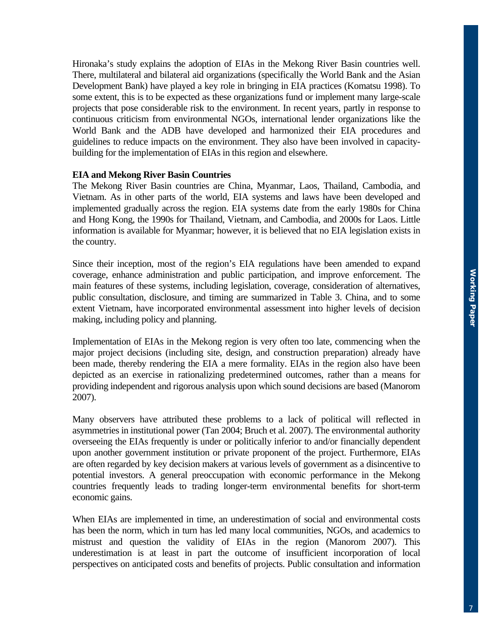Hironaka's study explains the adoption of EIAs in the Mekong River Basin countries well. There, multilateral and bilateral aid organizations (specifically the World Bank and the Asian Development Bank) have played a key role in bringing in EIA practices (Komatsu 1998). To some extent, this is to be expected as these organizations fund or implement many large-scale projects that pose considerable risk to the environment. In recent years, partly in response to continuous criticism from environmental NGOs, international lender organizations like the World Bank and the ADB have developed and harmonized their EIA procedures and guidelines to reduce impacts on the environment. They also have been involved in capacitybuilding for the implementation of EIAs in this region and elsewhere.

### **EIA and Mekong River Basin Countries**

The Mekong River Basin countries are China, Myanmar, Laos, Thailand, Cambodia, and Vietnam. As in other parts of the world, EIA systems and laws have been developed and implemented gradually across the region. EIA systems date from the early 1980s for China and Hong Kong, the 1990s for Thailand, Vietnam, and Cambodia, and 2000s for Laos. Little information is available for Myanmar; however, it is believed that no EIA legislation exists in the country.

Since their inception, most of the region's EIA regulations have been amended to expand coverage, enhance administration and public participation, and improve enforcement. The main features of these systems, including legislation, coverage, consideration of alternatives, public consultation, disclosure, and timing are summarized in Table 3. China, and to some extent Vietnam, have incorporated environmental assessment into higher levels of decision making, including policy and planning.

Implementation of EIAs in the Mekong region is very often too late, commencing when the major project decisions (including site, design, and construction preparation) already have been made, thereby rendering the EIA a mere formality. EIAs in the region also have been depicted as an exercise in rationalizing predetermined outcomes, rather than a means for providing independent and rigorous analysis upon which sound decisions are based (Manorom 2007).

Many observers have attributed these problems to a lack of political will reflected in asymmetries in institutional power (Tan 2004; Bruch et al. 2007). The environmental authority overseeing the EIAs frequently is under or politically inferior to and/or financially dependent upon another government institution or private proponent of the project. Furthermore, EIAs are often regarded by key decision makers at various levels of government as a disincentive to potential investors. A general preoccupation with economic performance in the Mekong countries frequently leads to trading longer-term environmental benefits for short-term economic gains.

When EIAs are implemented in time, an underestimation of social and environmental costs has been the norm, which in turn has led many local communities, NGOs, and academics to mistrust and question the validity of EIAs in the region (Manorom 2007). This underestimation is at least in part the outcome of insufficient incorporation of local perspectives on anticipated costs and benefits of projects. Public consultation and information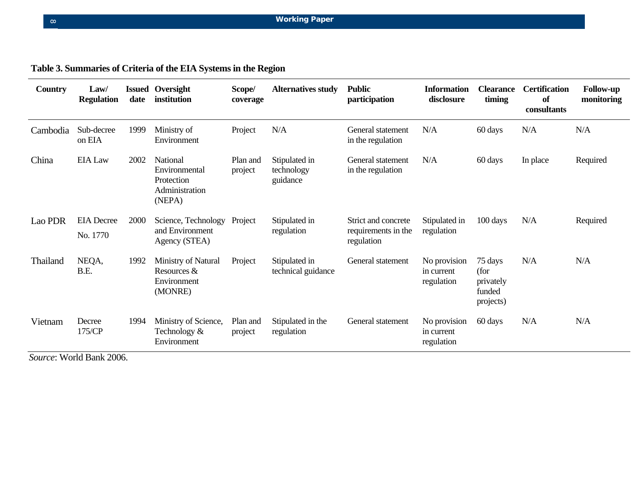# **Table 3. Summaries of Criteria of the EIA Systems in the Region**

| <b>Country</b> | Law/<br><b>Regulation</b>     | date | <b>Issued Oversight</b><br>institution                              | Scope/<br>coverage  | <b>Alternatives study</b>               | <b>Public</b><br>participation                           | <b>Information</b><br>disclosure         | <b>Clearance</b><br>timing                          | <b>Certification</b><br>of<br>consultants | <b>Follow-up</b><br>monitoring |
|----------------|-------------------------------|------|---------------------------------------------------------------------|---------------------|-----------------------------------------|----------------------------------------------------------|------------------------------------------|-----------------------------------------------------|-------------------------------------------|--------------------------------|
| Cambodia       | Sub-decree<br>on EIA          | 1999 | Ministry of<br>Environment                                          | Project             | N/A                                     | General statement<br>in the regulation                   | N/A                                      | 60 days                                             | N/A                                       | N/A                            |
| China          | <b>EIA Law</b>                | 2002 | National<br>Environmental<br>Protection<br>Administration<br>(NEPA) | Plan and<br>project | Stipulated in<br>technology<br>guidance | General statement<br>in the regulation                   | N/A                                      | 60 days                                             | In place                                  | Required                       |
| Lao PDR        | <b>EIA</b> Decree<br>No. 1770 | 2000 | Science, Technology<br>and Environment<br>Agency (STEA)             | Project             | Stipulated in<br>regulation             | Strict and concrete<br>requirements in the<br>regulation | Stipulated in<br>regulation              | 100 days                                            | N/A                                       | Required                       |
| Thailand       | NEQA,<br>B.E.                 | 1992 | Ministry of Natural<br>Resources &<br>Environment<br>(MONRE)        | Project             | Stipulated in<br>technical guidance     | General statement                                        | No provision<br>in current<br>regulation | 75 days<br>(for<br>privately<br>funded<br>projects) | N/A                                       | N/A                            |
| Vietnam        | Decree<br>175/CP              | 1994 | Ministry of Science,<br>Technology &<br>Environment                 | Plan and<br>project | Stipulated in the<br>regulation         | General statement                                        | No provision<br>in current<br>regulation | 60 days                                             | N/A                                       | N/A                            |

*Source*: World Bank 2006.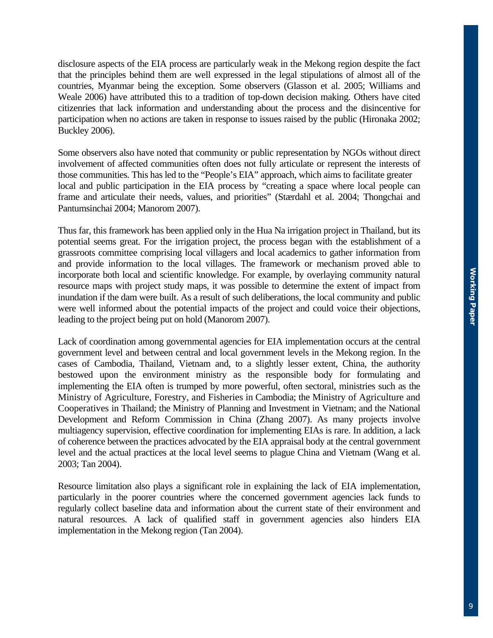disclosure aspects of the EIA process are particularly weak in the Mekong region despite the fact that the principles behind them are well expressed in the legal stipulations of almost all of the countries, Myanmar being the exception. Some observers (Glasson et al. 2005; Williams and Weale 2006) have attributed this to a tradition of top-down decision making. Others have cited citizenries that lack information and understanding about the process and the disincentive for participation when no actions are taken in response to issues raised by the public (Hironaka 2002; Buckley 2006).

Some observers also have noted that community or public representation by NGOs without direct involvement of affected communities often does not fully articulate or represent the interests of those communities. This has led to the "People's EIA" approach, which aims to facilitate greater local and public participation in the EIA process by "creating a space where local people can frame and articulate their needs, values, and priorities" (Stærdahl et al. 2004; Thongchai and Pantumsinchai 2004; Manorom 2007).

Thus far, this framework has been applied only in the Hua Na irrigation project in Thailand, but its potential seems great. For the irrigation project, the process began with the establishment of a grassroots committee comprising local villagers and local academics to gather information from and provide information to the local villages. The framework or mechanism proved able to incorporate both local and scientific knowledge. For example, by overlaying community natural resource maps with project study maps, it was possible to determine the extent of impact from inundation if the dam were built. As a result of such deliberations, the local community and public were well informed about the potential impacts of the project and could voice their objections, leading to the project being put on hold (Manorom 2007).

Lack of coordination among governmental agencies for EIA implementation occurs at the central government level and between central and local government levels in the Mekong region. In the cases of Cambodia, Thailand, Vietnam and, to a slightly lesser extent, China, the authority bestowed upon the environment ministry as the responsible body for formulating and implementing the EIA often is trumped by more powerful, often sectoral, ministries such as the Ministry of Agriculture, Forestry, and Fisheries in Cambodia; the Ministry of Agriculture and Cooperatives in Thailand; the Ministry of Planning and Investment in Vietnam; and the National Development and Reform Commission in China (Zhang 2007). As many projects involve multiagency supervision, effective coordination for implementing EIAs is rare. In addition, a lack of coherence between the practices advocated by the EIA appraisal body at the central government level and the actual practices at the local level seems to plague China and Vietnam (Wang et al. 2003; Tan 2004).

Resource limitation also plays a significant role in explaining the lack of EIA implementation, particularly in the poorer countries where the concerned government agencies lack funds to regularly collect baseline data and information about the current state of their environment and natural resources. A lack of qualified staff in government agencies also hinders EIA implementation in the Mekong region (Tan 2004).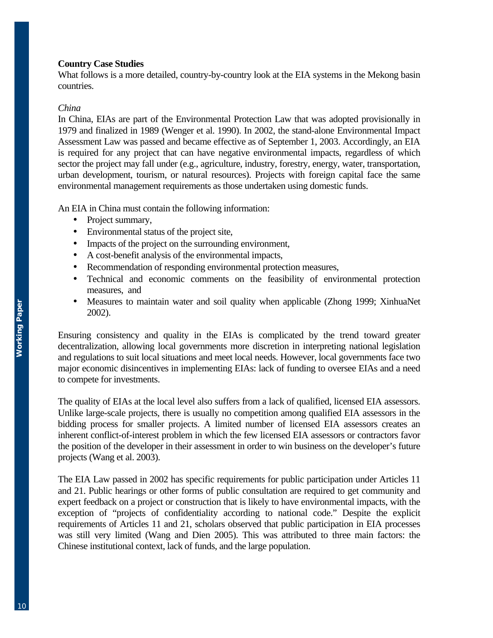## **Country Case Studies**

What follows is a more detailed, country-by-country look at the EIA systems in the Mekong basin countries.

## *China*

In China, EIAs are part of the Environmental Protection Law that was adopted provisionally in 1979 and finalized in 1989 (Wenger et al. 1990). In 2002, the stand-alone Environmental Impact Assessment Law was passed and became effective as of September 1, 2003. Accordingly, an EIA is required for any project that can have negative environmental impacts, regardless of which sector the project may fall under (e.g., agriculture, industry, forestry, energy, water, transportation, urban development, tourism, or natural resources). Projects with foreign capital face the same environmental management requirements as those undertaken using domestic funds.

An EIA in China must contain the following information:

- Project summary,
- Environmental status of the project site,
- Impacts of the project on the surrounding environment,
- A cost-benefit analysis of the environmental impacts,
- Recommendation of responding environmental protection measures,
- Technical and economic comments on the feasibility of environmental protection measures, and
- Measures to maintain water and soil quality when applicable (Zhong 1999; XinhuaNet 2002).

Ensuring consistency and quality in the EIAs is complicated by the trend toward greater decentralization, allowing local governments more discretion in interpreting national legislation and regulations to suit local situations and meet local needs. However, local governments face two major economic disincentives in implementing EIAs: lack of funding to oversee EIAs and a need to compete for investments.

The quality of EIAs at the local level also suffers from a lack of qualified, licensed EIA assessors. Unlike large-scale projects, there is usually no competition among qualified EIA assessors in the bidding process for smaller projects. A limited number of licensed EIA assessors creates an inherent conflict-of-interest problem in which the few licensed EIA assessors or contractors favor the position of the developer in their assessment in order to win business on the developer's future projects (Wang et al. 2003).

The EIA Law passed in 2002 has specific requirements for public participation under Articles 11 and 21. Public hearings or other forms of public consultation are required to get community and expert feedback on a project or construction that is likely to have environmental impacts, with the exception of "projects of confidentiality according to national code." Despite the explicit requirements of Articles 11 and 21, scholars observed that public participation in EIA processes was still very limited (Wang and Dien 2005). This was attributed to three main factors: the Chinese institutional context, lack of funds, and the large population.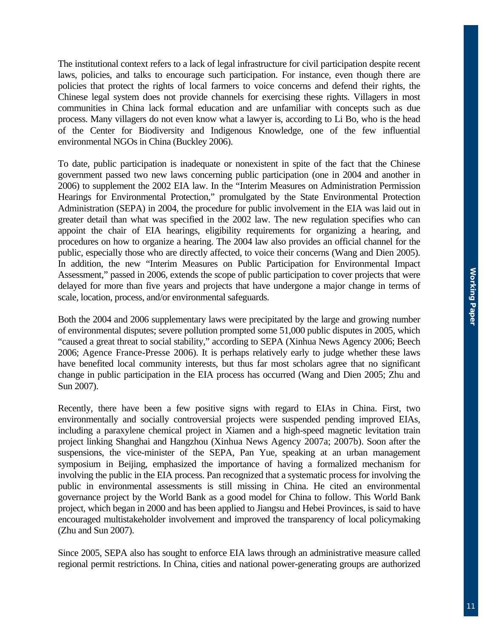The institutional context refers to a lack of legal infrastructure for civil participation despite recent laws, policies, and talks to encourage such participation. For instance, even though there are policies that protect the rights of local farmers to voice concerns and defend their rights, the Chinese legal system does not provide channels for exercising these rights. Villagers in most communities in China lack formal education and are unfamiliar with concepts such as due process. Many villagers do not even know what a lawyer is, according to Li Bo, who is the head of the Center for Biodiversity and Indigenous Knowledge, one of the few influential environmental NGOs in China (Buckley 2006).

To date, public participation is inadequate or nonexistent in spite of the fact that the Chinese government passed two new laws concerning public participation (one in 2004 and another in 2006) to supplement the 2002 EIA law. In the "Interim Measures on Administration Permission Hearings for Environmental Protection," promulgated by the State Environmental Protection Administration (SEPA) in 2004, the procedure for public involvement in the EIA was laid out in greater detail than what was specified in the 2002 law. The new regulation specifies who can appoint the chair of EIA hearings, eligibility requirements for organizing a hearing, and procedures on how to organize a hearing. The 2004 law also provides an official channel for the public, especially those who are directly affected, to voice their concerns (Wang and Dien 2005). In addition, the new "Interim Measures on Public Participation for Environmental Impact Assessment," passed in 2006, extends the scope of public participation to cover projects that were delayed for more than five years and projects that have undergone a major change in terms of scale, location, process, and/or environmental safeguards.

Both the 2004 and 2006 supplementary laws were precipitated by the large and growing number of environmental disputes; severe pollution prompted some 51,000 public disputes in 2005, which "caused a great threat to social stability," according to SEPA (Xinhua News Agency 2006; Beech 2006; Agence France-Presse 2006). It is perhaps relatively early to judge whether these laws have benefited local community interests, but thus far most scholars agree that no significant change in public participation in the EIA process has occurred (Wang and Dien 2005; Zhu and Sun 2007).

Recently, there have been a few positive signs with regard to EIAs in China. First, two environmentally and socially controversial projects were suspended pending improved EIAs, including a paraxylene chemical project in Xiamen and a high-speed magnetic levitation train project linking Shanghai and Hangzhou (Xinhua News Agency 2007a; 2007b). Soon after the suspensions, the vice-minister of the SEPA, Pan Yue, speaking at an urban management symposium in Beijing, emphasized the importance of having a formalized mechanism for involving the public in the EIA process. Pan recognized that a systematic process for involving the public in environmental assessments is still missing in China. He cited an environmental governance project by the World Bank as a good model for China to follow. This World Bank project, which began in 2000 and has been applied to Jiangsu and Hebei Provinces, is said to have encouraged multistakeholder involvement and improved the transparency of local policymaking (Zhu and Sun 2007).

Since 2005, SEPA also has sought to enforce EIA laws through an administrative measure called regional permit restrictions. In China, cities and national power-generating groups are authorized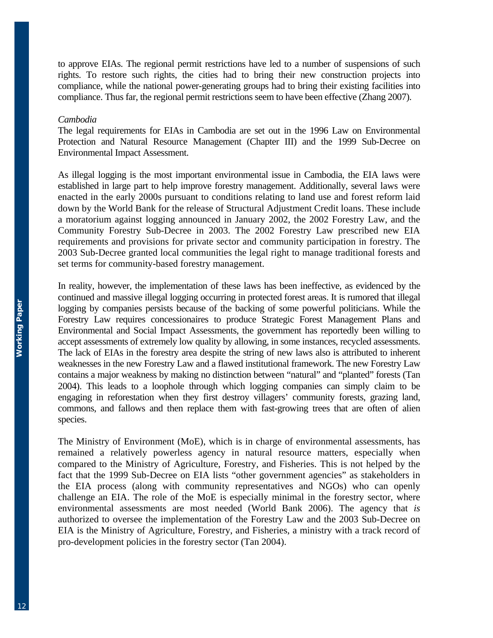to approve EIAs. The regional permit restrictions have led to a number of suspensions of such rights. To restore such rights, the cities had to bring their new construction projects into compliance, while the national power-generating groups had to bring their existing facilities into compliance. Thus far, the regional permit restrictions seem to have been effective (Zhang 2007).

#### *Cambodia*

The legal requirements for EIAs in Cambodia are set out in the 1996 Law on Environmental Protection and Natural Resource Management (Chapter III) and the 1999 Sub-Decree on Environmental Impact Assessment.

As illegal logging is the most important environmental issue in Cambodia, the EIA laws were established in large part to help improve forestry management. Additionally, several laws were enacted in the early 2000s pursuant to conditions relating to land use and forest reform laid down by the World Bank for the release of Structural Adjustment Credit loans. These include a moratorium against logging announced in January 2002, the 2002 Forestry Law, and the Community Forestry Sub-Decree in 2003. The 2002 Forestry Law prescribed new EIA requirements and provisions for private sector and community participation in forestry. The 2003 Sub-Decree granted local communities the legal right to manage traditional forests and set terms for community-based forestry management.

In reality, however, the implementation of these laws has been ineffective, as evidenced by the continued and massive illegal logging occurring in protected forest areas. It is rumored that illegal logging by companies persists because of the backing of some powerful politicians. While the Forestry Law requires concessionaires to produce Strategic Forest Management Plans and Environmental and Social Impact Assessments, the government has reportedly been willing to accept assessments of extremely low quality by allowing, in some instances, recycled assessments. The lack of EIAs in the forestry area despite the string of new laws also is attributed to inherent weaknesses in the new Forestry Law and a flawed institutional framework. The new Forestry Law contains a major weakness by making no distinction between "natural" and "planted" forests (Tan 2004). This leads to a loophole through which logging companies can simply claim to be engaging in reforestation when they first destroy villagers' community forests, grazing land, commons, and fallows and then replace them with fast-growing trees that are often of alien species.

The Ministry of Environment (MoE), which is in charge of environmental assessments, has remained a relatively powerless agency in natural resource matters, especially when compared to the Ministry of Agriculture, Forestry, and Fisheries. This is not helped by the fact that the 1999 Sub-Decree on EIA lists "other government agencies" as stakeholders in the EIA process (along with community representatives and NGOs) who can openly challenge an EIA. The role of the MoE is especially minimal in the forestry sector, where environmental assessments are most needed (World Bank 2006). The agency that *is* authorized to oversee the implementation of the Forestry Law and the 2003 Sub-Decree on EIA is the Ministry of Agriculture, Forestry, and Fisheries, a ministry with a track record of pro-development policies in the forestry sector (Tan 2004).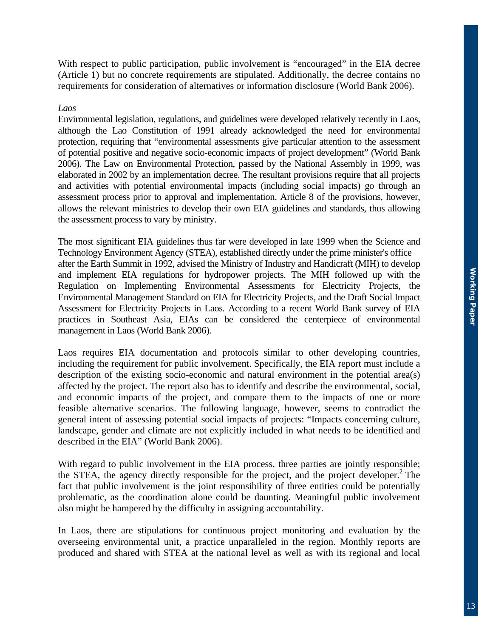With respect to public participation, public involvement is "encouraged" in the EIA decree (Article 1) but no concrete requirements are stipulated. Additionally, the decree contains no requirements for consideration of alternatives or information disclosure (World Bank 2006).

## *Laos*

Environmental legislation, regulations, and guidelines were developed relatively recently in Laos, although the Lao Constitution of 1991 already acknowledged the need for environmental protection, requiring that "environmental assessments give particular attention to the assessment of potential positive and negative socio-economic impacts of project development" (World Bank 2006). The Law on Environmental Protection, passed by the National Assembly in 1999, was elaborated in 2002 by an implementation decree. The resultant provisions require that all projects and activities with potential environmental impacts (including social impacts) go through an assessment process prior to approval and implementation. Article 8 of the provisions, however, allows the relevant ministries to develop their own EIA guidelines and standards, thus allowing the assessment process to vary by ministry.

The most significant EIA guidelines thus far were developed in late 1999 when the Science and Technology Environment Agency (STEA), established directly under the prime minister's office after the Earth Summit in 1992, advised the Ministry of Industry and Handicraft (MIH) to develop and implement EIA regulations for hydropower projects. The MIH followed up with the Regulation on Implementing Environmental Assessments for Electricity Projects, the Environmental Management Standard on EIA for Electricity Projects, and the Draft Social Impact Assessment for Electricity Projects in Laos. According to a recent World Bank survey of EIA practices in Southeast Asia, EIAs can be considered the centerpiece of environmental management in Laos (World Bank 2006).

Laos requires EIA documentation and protocols similar to other developing countries, including the requirement for public involvement. Specifically, the EIA report must include a description of the existing socio-economic and natural environment in the potential area(s) affected by the project. The report also has to identify and describe the environmental, social, and economic impacts of the project, and compare them to the impacts of one or more feasible alternative scenarios. The following language, however, seems to contradict the general intent of assessing potential social impacts of projects: "Impacts concerning culture, landscape, gender and climate are not explicitly included in what needs to be identified and described in the EIA" (World Bank 2006).

With regard to public involvement in the EIA process, three parties are jointly responsible; the STEA, the agency directly responsible for the project, and the project developer.<sup>2</sup> The fact that public involvement is the joint responsibility of three entities could be potentially problematic, as the coordination alone could be daunting. Meaningful public involvement also might be hampered by the difficulty in assigning accountability.

In Laos, there are stipulations for continuous project monitoring and evaluation by the overseeing environmental unit, a practice unparalleled in the region. Monthly reports are produced and shared with STEA at the national level as well as with its regional and local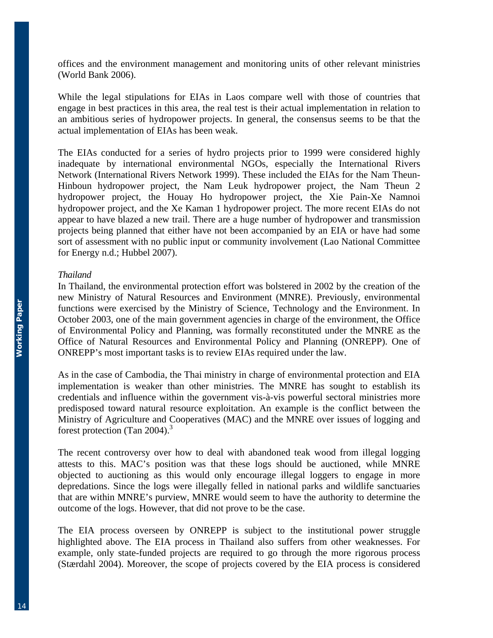offices and the environment management and monitoring units of other relevant ministries (World Bank 2006).

While the legal stipulations for EIAs in Laos compare well with those of countries that engage in best practices in this area, the real test is their actual implementation in relation to an ambitious series of hydropower projects. In general, the consensus seems to be that the actual implementation of EIAs has been weak.

The EIAs conducted for a series of hydro projects prior to 1999 were considered highly inadequate by international environmental NGOs, especially the International Rivers Network (International Rivers Network 1999). These included the EIAs for the Nam Theun-Hinboun hydropower project, the Nam Leuk hydropower project, the Nam Theun 2 hydropower project, the Houay Ho hydropower project, the Xie Pain-Xe Namnoi hydropower project, and the Xe Kaman 1 hydropower project. The more recent EIAs do not appear to have blazed a new trail. There are a huge number of hydropower and transmission projects being planned that either have not been accompanied by an EIA or have had some sort of assessment with no public input or community involvement (Lao National Committee for Energy n.d.; Hubbel 2007).

#### *Thailand*

In Thailand, the environmental protection effort was bolstered in 2002 by the creation of the new Ministry of Natural Resources and Environment (MNRE). Previously, environmental functions were exercised by the Ministry of Science, Technology and the Environment. In October 2003, one of the main government agencies in charge of the environment, the Office of Environmental Policy and Planning, was formally reconstituted under the MNRE as the Office of Natural Resources and Environmental Policy and Planning (ONREPP). One of ONREPP's most important tasks is to review EIAs required under the law.

As in the case of Cambodia, the Thai ministry in charge of environmental protection and EIA implementation is weaker than other ministries. The MNRE has sought to establish its credentials and influence within the government vis-à-vis powerful sectoral ministries more predisposed toward natural resource exploitation. An example is the conflict between the Ministry of Agriculture and Cooperatives (MAC) and the MNRE over issues of logging and forest protection (Tan 2004).<sup>3</sup>

The recent controversy over how to deal with abandoned teak wood from illegal logging attests to this. MAC's position was that these logs should be auctioned, while MNRE objected to auctioning as this would only encourage illegal loggers to engage in more depredations. Since the logs were illegally felled in national parks and wildlife sanctuaries that are within MNRE's purview, MNRE would seem to have the authority to determine the outcome of the logs. However, that did not prove to be the case.

The EIA process overseen by ONREPP is subject to the institutional power struggle highlighted above. The EIA process in Thailand also suffers from other weaknesses. For example, only state-funded projects are required to go through the more rigorous process (Stærdahl 2004). Moreover, the scope of projects covered by the EIA process is considered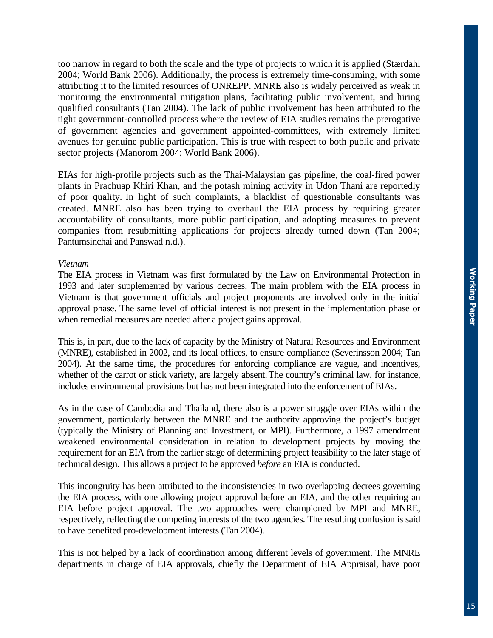too narrow in regard to both the scale and the type of projects to which it is applied (Stærdahl 2004; World Bank 2006). Additionally, the process is extremely time-consuming, with some attributing it to the limited resources of ONREPP. MNRE also is widely perceived as weak in monitoring the environmental mitigation plans, facilitating public involvement, and hiring qualified consultants (Tan 2004). The lack of public involvement has been attributed to the tight government-controlled process where the review of EIA studies remains the prerogative of government agencies and government appointed-committees, with extremely limited avenues for genuine public participation. This is true with respect to both public and private sector projects (Manorom 2004; World Bank 2006).

EIAs for high-profile projects such as the Thai-Malaysian gas pipeline, the coal-fired power plants in Prachuap Khiri Khan, and the potash mining activity in Udon Thani are reportedly of poor quality. In light of such complaints, a blacklist of questionable consultants was created. MNRE also has been trying to overhaul the EIA process by requiring greater accountability of consultants, more public participation, and adopting measures to prevent companies from resubmitting applications for projects already turned down (Tan 2004; Pantumsinchai and Panswad n.d.).

#### *Vietnam*

The EIA process in Vietnam was first formulated by the Law on Environmental Protection in 1993 and later supplemented by various decrees. The main problem with the EIA process in Vietnam is that government officials and project proponents are involved only in the initial approval phase. The same level of official interest is not present in the implementation phase or when remedial measures are needed after a project gains approval.

This is, in part, due to the lack of capacity by the Ministry of Natural Resources and Environment (MNRE), established in 2002, and its local offices, to ensure compliance (Severinsson 2004; Tan 2004). At the same time, the procedures for enforcing compliance are vague, and incentives, whether of the carrot or stick variety, are largely absent.The country's criminal law, for instance, includes environmental provisions but has not been integrated into the enforcement of EIAs.

As in the case of Cambodia and Thailand, there also is a power struggle over EIAs within the government, particularly between the MNRE and the authority approving the project's budget (typically the Ministry of Planning and Investment, or MPI). Furthermore, a 1997 amendment weakened environmental consideration in relation to development projects by moving the requirement for an EIA from the earlier stage of determining project feasibility to the later stage of technical design. This allows a project to be approved *before* an EIA is conducted.

This incongruity has been attributed to the inconsistencies in two overlapping decrees governing the EIA process, with one allowing project approval before an EIA, and the other requiring an EIA before project approval. The two approaches were championed by MPI and MNRE, respectively, reflecting the competing interests of the two agencies. The resulting confusion is said to have benefited pro-development interests (Tan 2004).

This is not helped by a lack of coordination among different levels of government. The MNRE departments in charge of EIA approvals, chiefly the Department of EIA Appraisal, have poor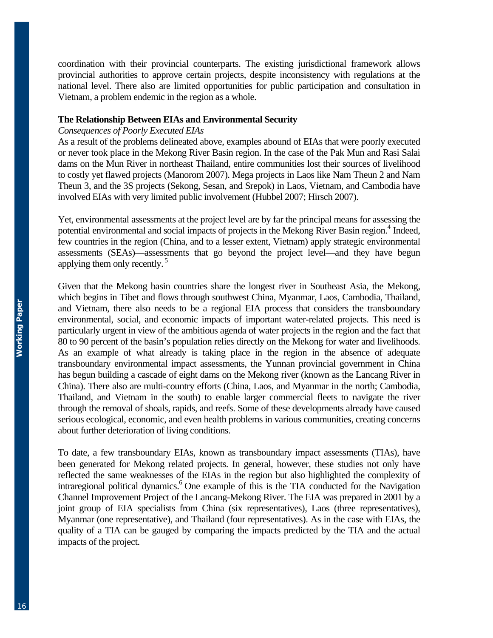coordination with their provincial counterparts. The existing jurisdictional framework allows provincial authorities to approve certain projects, despite inconsistency with regulations at the national level. There also are limited opportunities for public participation and consultation in Vietnam, a problem endemic in the region as a whole.

# **The Relationship Between EIAs and Environmental Security**

# *Consequences of Poorly Executed EIAs*

As a result of the problems delineated above, examples abound of EIAs that were poorly executed or never took place in the Mekong River Basin region. In the case of the Pak Mun and Rasi Salai dams on the Mun River in northeast Thailand, entire communities lost their sources of livelihood to costly yet flawed projects (Manorom 2007). Mega projects in Laos like Nam Theun 2 and Nam Theun 3, and the 3S projects (Sekong, Sesan, and Srepok) in Laos, Vietnam, and Cambodia have involved EIAs with very limited public involvement (Hubbel 2007; Hirsch 2007).

Yet, environmental assessments at the project level are by far the principal means for assessing the potential environmental and social impacts of projects in the Mekong River Basin region.<sup>4</sup> Indeed, few countries in the region (China, and to a lesser extent, Vietnam) apply strategic environmental assessments (SEAs)—assessments that go beyond the project level—and they have begun applying them only recently. 5

Given that the Mekong basin countries share the longest river in Southeast Asia, the Mekong, which begins in Tibet and flows through southwest China, Myanmar, Laos, Cambodia, Thailand, and Vietnam, there also needs to be a regional EIA process that considers the transboundary environmental, social, and economic impacts of important water-related projects. This need is particularly urgent in view of the ambitious agenda of water projects in the region and the fact that 80 to 90 percent of the basin's population relies directly on the Mekong for water and livelihoods. As an example of what already is taking place in the region in the absence of adequate transboundary environmental impact assessments, the Yunnan provincial government in China has begun building a cascade of eight dams on the Mekong river (known as the Lancang River in China). There also are multi-country efforts (China, Laos, and Myanmar in the north; Cambodia, Thailand, and Vietnam in the south) to enable larger commercial fleets to navigate the river through the removal of shoals, rapids, and reefs. Some of these developments already have caused serious ecological, economic, and even health problems in various communities, creating concerns about further deterioration of living conditions.

To date, a few transboundary EIAs, known as transboundary impact assessments (TIAs), have been generated for Mekong related projects. In general, however, these studies not only have reflected the same weaknesses of the EIAs in the region but also highlighted the complexity of intraregional political dynamics.<sup>6</sup> One example of this is the TIA conducted for the Navigation Channel Improvement Project of the Lancang-Mekong River. The EIA was prepared in 2001 by a joint group of EIA specialists from China (six representatives), Laos (three representatives), Myanmar (one representative), and Thailand (four representatives). As in the case with EIAs, the quality of a TIA can be gauged by comparing the impacts predicted by the TIA and the actual impacts of the project.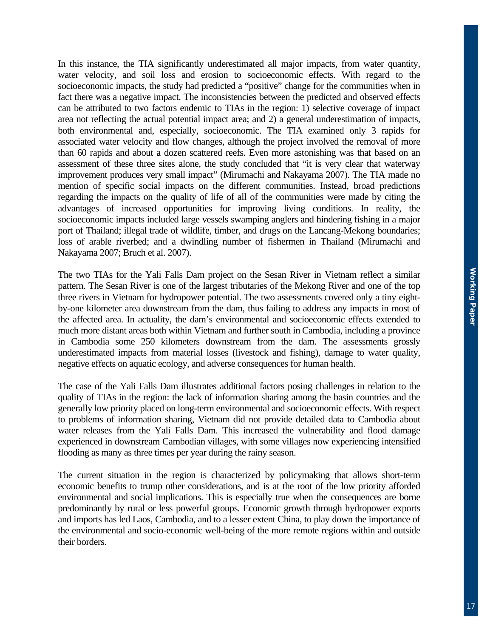In this instance, the TIA significantly underestimated all major impacts, from water quantity, water velocity, and soil loss and erosion to socioeconomic effects. With regard to the socioeconomic impacts, the study had predicted a "positive" change for the communities when in fact there was a negative impact. The inconsistencies between the predicted and observed effects can be attributed to two factors endemic to TIAs in the region: 1) selective coverage of impact area not reflecting the actual potential impact area; and 2) a general underestimation of impacts, both environmental and, especially, socioeconomic. The TIA examined only 3 rapids for associated water velocity and flow changes, although the project involved the removal of more than 60 rapids and about a dozen scattered reefs. Even more astonishing was that based on an assessment of these three sites alone, the study concluded that "it is very clear that waterway improvement produces very small impact" (Mirumachi and Nakayama 2007). The TIA made no mention of specific social impacts on the different communities. Instead, broad predictions regarding the impacts on the quality of life of all of the communities were made by citing the advantages of increased opportunities for improving living conditions. In reality, the socioeconomic impacts included large vessels swamping anglers and hindering fishing in a major port of Thailand; illegal trade of wildlife, timber, and drugs on the Lancang-Mekong boundaries; loss of arable riverbed; and a dwindling number of fishermen in Thailand (Mirumachi and Nakayama 2007; Bruch et al. 2007).

The two TIAs for the Yali Falls Dam project on the Sesan River in Vietnam reflect a similar pattern. The Sesan River is one of the largest tributaries of the Mekong River and one of the top three rivers in Vietnam for hydropower potential. The two assessments covered only a tiny eightby-one kilometer area downstream from the dam, thus failing to address any impacts in most of the affected area. In actuality, the dam's environmental and socioeconomic effects extended to much more distant areas both within Vietnam and further south in Cambodia, including a province in Cambodia some 250 kilometers downstream from the dam. The assessments grossly underestimated impacts from material losses (livestock and fishing), damage to water quality, negative effects on aquatic ecology, and adverse consequences for human health.

The case of the Yali Falls Dam illustrates additional factors posing challenges in relation to the quality of TIAs in the region: the lack of information sharing among the basin countries and the generally low priority placed on long-term environmental and socioeconomic effects. With respect to problems of information sharing, Vietnam did not provide detailed data to Cambodia about water releases from the Yali Falls Dam. This increased the vulnerability and flood damage experienced in downstream Cambodian villages, with some villages now experiencing intensified flooding as many as three times per year during the rainy season.

The current situation in the region is characterized by policymaking that allows short-term economic benefits to trump other considerations, and is at the root of the low priority afforded environmental and social implications. This is especially true when the consequences are borne predominantly by rural or less powerful groups. Economic growth through hydropower exports and imports has led Laos, Cambodia, and to a lesser extent China, to play down the importance of the environmental and socio-economic well-being of the more remote regions within and outside their borders.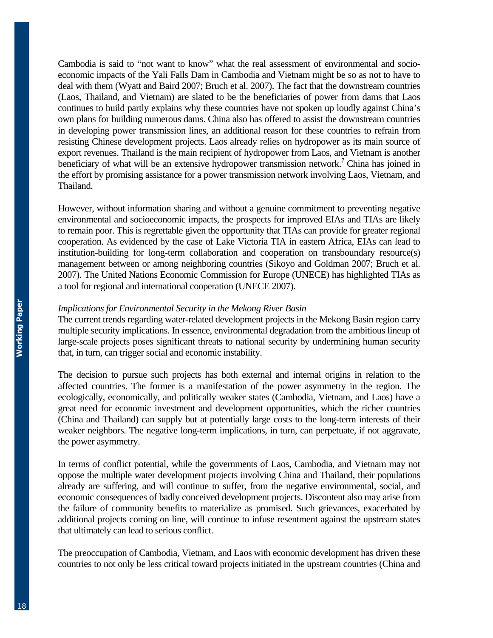Cambodia is said to "not want to know" what the real assessment of environmental and socioeconomic impacts of the Yali Falls Dam in Cambodia and Vietnam might be so as not to have to deal with them (Wyatt and Baird 2007; Bruch et al. 2007). The fact that the downstream countries (Laos, Thailand, and Vietnam) are slated to be the beneficiaries of power from dams that Laos continues to build partly explains why these countries have not spoken up loudly against China's own plans for building numerous dams. China also has offered to assist the downstream countries in developing power transmission lines, an additional reason for these countries to refrain from resisting Chinese development projects. Laos already relies on hydropower as its main source of export revenues. Thailand is the main recipient of hydropower from Laos, and Vietnam is another beneficiary of what will be an extensive hydropower transmission network.<sup>7</sup> China has joined in the effort by promising assistance for a power transmission network involving Laos, Vietnam, and Thailand.

However, without information sharing and without a genuine commitment to preventing negative environmental and socioeconomic impacts, the prospects for improved EIAs and TIAs are likely to remain poor. This is regrettable given the opportunity that TIAs can provide for greater regional cooperation. As evidenced by the case of Lake Victoria TIA in eastern Africa, EIAs can lead to institution-building for long-term collaboration and cooperation on transboundary resource(s) management between or among neighboring countries (Sikoyo and Goldman 2007; Bruch et al. 2007). The United Nations Economic Commission for Europe (UNECE) has highlighted TIAs as a tool for regional and international cooperation (UNECE 2007).

## *Implications for Environmental Security in the Mekong River Basin*

The current trends regarding water-related development projects in the Mekong Basin region carry multiple security implications. In essence, environmental degradation from the ambitious lineup of large-scale projects poses significant threats to national security by undermining human security that, in turn, can trigger social and economic instability.

The decision to pursue such projects has both external and internal origins in relation to the affected countries. The former is a manifestation of the power asymmetry in the region. The ecologically, economically, and politically weaker states (Cambodia, Vietnam, and Laos) have a great need for economic investment and development opportunities, which the richer countries (China and Thailand) can supply but at potentially large costs to the long-term interests of their weaker neighbors. The negative long-term implications, in turn, can perpetuate, if not aggravate, the power asymmetry.

In terms of conflict potential, while the governments of Laos, Cambodia, and Vietnam may not oppose the multiple water development projects involving China and Thailand, their populations already are suffering, and will continue to suffer, from the negative environmental, social, and economic consequences of badly conceived development projects. Discontent also may arise from the failure of community benefits to materialize as promised. Such grievances, exacerbated by additional projects coming on line, will continue to infuse resentment against the upstream states that ultimately can lead to serious conflict.

The preoccupation of Cambodia, Vietnam, and Laos with economic development has driven these countries to not only be less critical toward projects initiated in the upstream countries (China and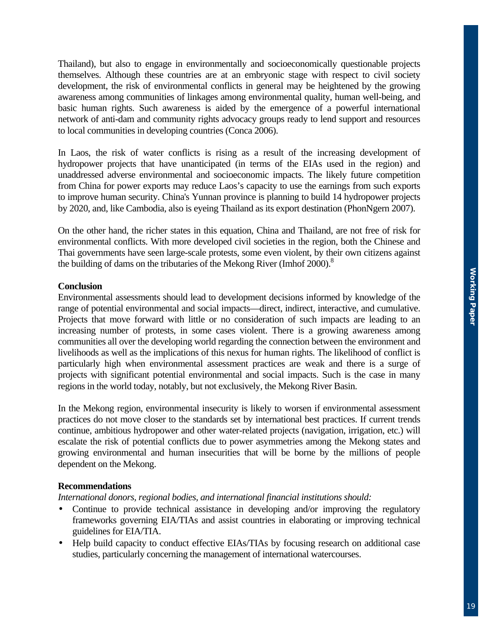Thailand), but also to engage in environmentally and socioeconomically questionable projects themselves. Although these countries are at an embryonic stage with respect to civil society development, the risk of environmental conflicts in general may be heightened by the growing awareness among communities of linkages among environmental quality, human well-being, and basic human rights. Such awareness is aided by the emergence of a powerful international network of anti-dam and community rights advocacy groups ready to lend support and resources to local communities in developing countries (Conca 2006).

In Laos, the risk of water conflicts is rising as a result of the increasing development of hydropower projects that have unanticipated (in terms of the EIAs used in the region) and unaddressed adverse environmental and socioeconomic impacts. The likely future competition from China for power exports may reduce Laos's capacity to use the earnings from such exports to improve human security. China's Yunnan province is planning to build 14 hydropower projects by 2020, and, like Cambodia, also is eyeing Thailand as its export destination (PhonNgern 2007).

On the other hand, the richer states in this equation, China and Thailand, are not free of risk for environmental conflicts. With more developed civil societies in the region, both the Chinese and Thai governments have seen large-scale protests, some even violent, by their own citizens against the building of dams on the tributaries of the Mekong River (Imhof 2000).<sup>8</sup>

## **Conclusion**

Environmental assessments should lead to development decisions informed by knowledge of the range of potential environmental and social impacts—direct, indirect, interactive, and cumulative. Projects that move forward with little or no consideration of such impacts are leading to an increasing number of protests, in some cases violent. There is a growing awareness among communities all over the developing world regarding the connection between the environment and livelihoods as well as the implications of this nexus for human rights. The likelihood of conflict is particularly high when environmental assessment practices are weak and there is a surge of projects with significant potential environmental and social impacts. Such is the case in many regions in the world today, notably, but not exclusively, the Mekong River Basin.

In the Mekong region, environmental insecurity is likely to worsen if environmental assessment practices do not move closer to the standards set by international best practices. If current trends continue, ambitious hydropower and other water-related projects (navigation, irrigation, etc.) will escalate the risk of potential conflicts due to power asymmetries among the Mekong states and growing environmental and human insecurities that will be borne by the millions of people dependent on the Mekong.

#### **Recommendations**

*International donors, regional bodies, and international financial institutions should:* 

- Continue to provide technical assistance in developing and/or improving the regulatory frameworks governing EIA/TIAs and assist countries in elaborating or improving technical guidelines for EIA/TIA.
- Help build capacity to conduct effective EIAs/TIAs by focusing research on additional case studies, particularly concerning the management of international watercourses.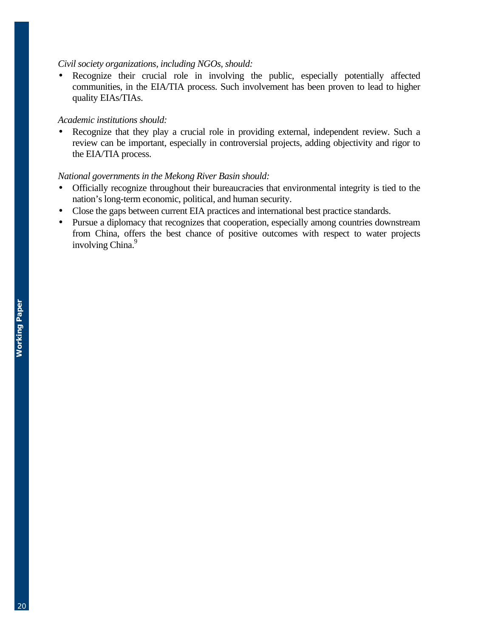## *Civil society organizations, including NGOs, should:*

Recognize their crucial role in involving the public, especially potentially affected communities, in the EIA/TIA process. Such involvement has been proven to lead to higher quality EIAs/TIAs.

## *Academic institutions should:*

• Recognize that they play a crucial role in providing external, independent review. Such a review can be important, especially in controversial projects, adding objectivity and rigor to the EIA/TIA process.

# *National governments in the Mekong River Basin should:*

- Officially recognize throughout their bureaucracies that environmental integrity is tied to the nation's long-term economic, political, and human security.
- Close the gaps between current EIA practices and international best practice standards.
- Pursue a diplomacy that recognizes that cooperation, especially among countries downstream from China, offers the best chance of positive outcomes with respect to water projects involving China.<sup>9</sup>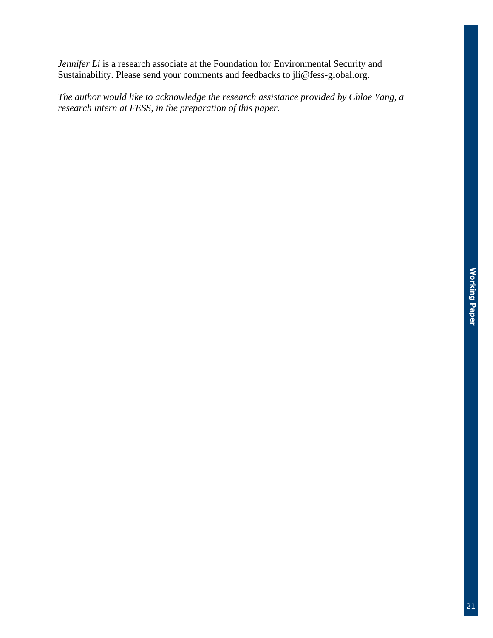*Jennifer Li* is a research associate at the Foundation for Environmental Security and Sustainability. Please send your comments and feedbacks to jli@fess-global.org.

*The author would like to acknowledge the research assistance provided by Chloe Yang, a research intern at FESS, in the preparation of this paper.*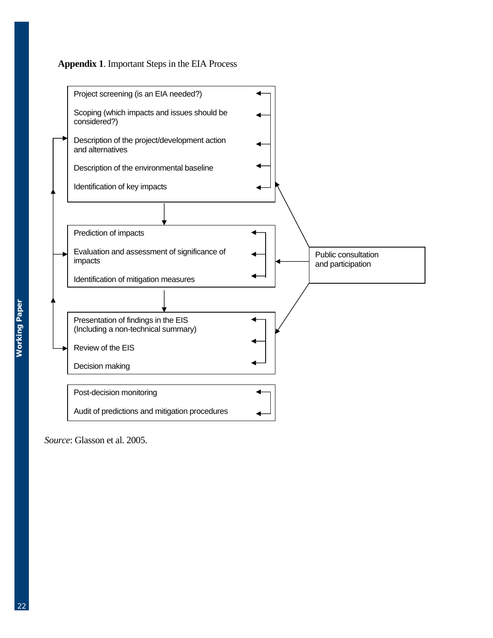



*Source*: Glasson et al. 2005.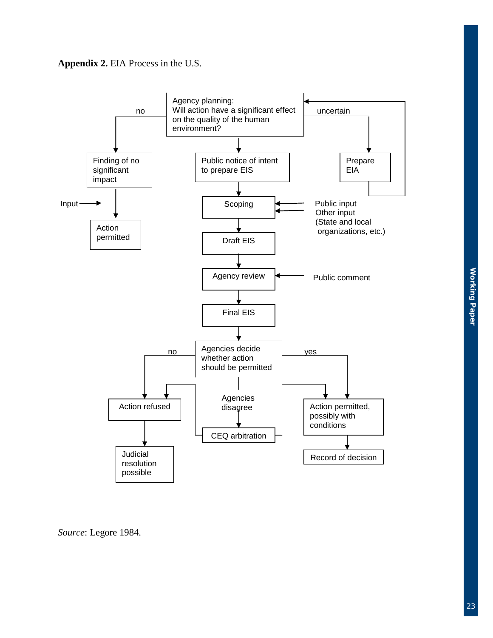



*Source*: Legore 1984.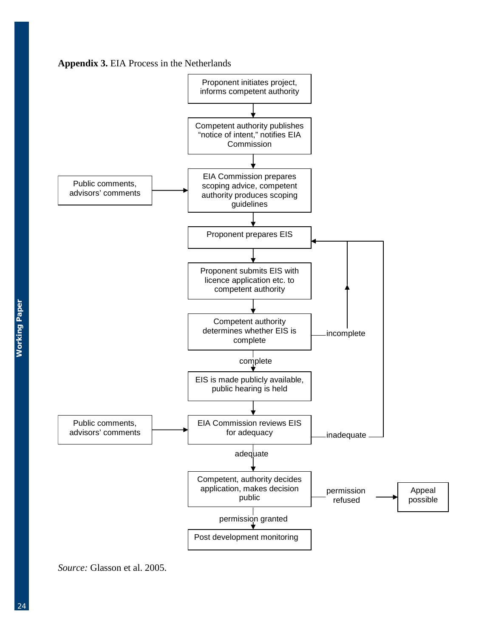



*Source:* Glasson et al. 2005.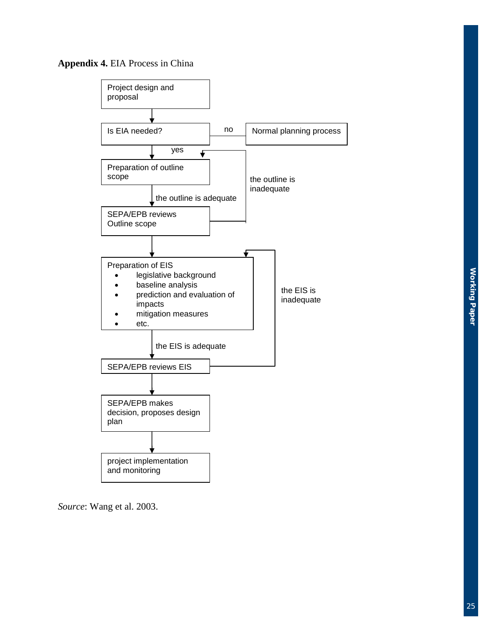



*Source*: Wang et al. 2003.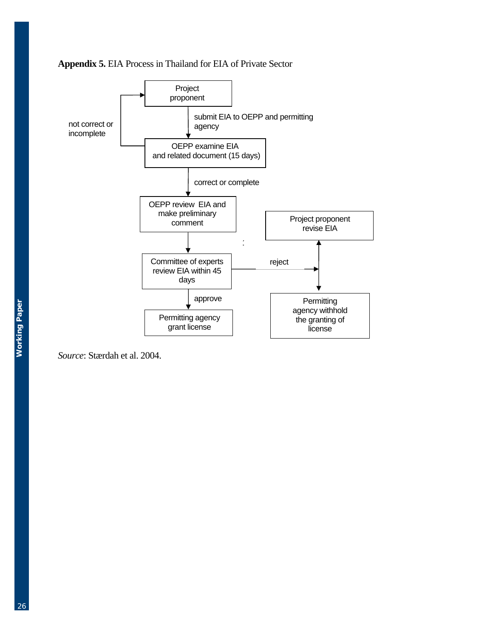



*Source*: Stærdah et al. 2004.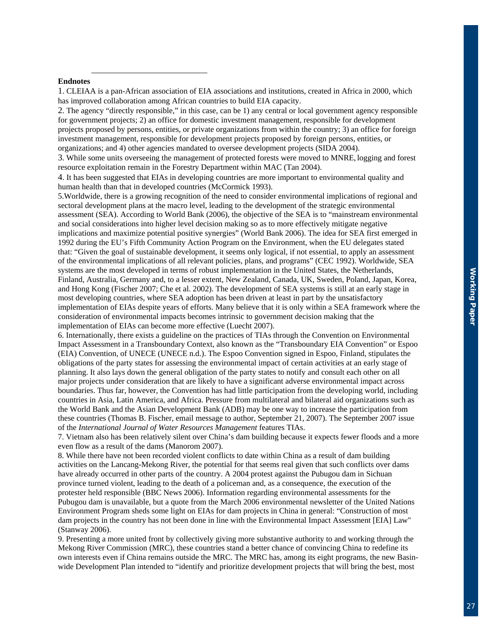#### **Endnotes**

l

1. CLEIAA is a pan-African association of EIA associations and institutions, created in Africa in 2000, which has improved collaboration among African countries to build EIA capacity.

2. The agency "directly responsible," in this case, can be 1) any central or local government agency responsible for government projects; 2) an office for domestic investment management, responsible for development projects proposed by persons, entities, or private organizations from within the country; 3) an office for foreign investment management, responsible for development projects proposed by foreign persons, entities, or organizations; and 4) other agencies mandated to oversee development projects (SIDA 2004).

3. While some units overseeing the management of protected forests were moved to MNRE, logging and forest resource exploitation remain in the Forestry Department within MAC (Tan 2004).

4. It has been suggested that EIAs in developing countries are more important to environmental quality and human health than that in developed countries (McCormick 1993).

5.Worldwide, there is a growing recognition of the need to consider environmental implications of regional and sectoral development plans at the macro level, leading to the development of the strategic environmental assessment (SEA). According to World Bank (2006), the objective of the SEA is to "mainstream environmental and social considerations into higher level decision making so as to more effectively mitigate negative implications and maximize potential positive synergies" (World Bank 2006). The idea for SEA first emerged in 1992 during the EU's Fifth Community Action Program on the Environment, when the EU delegates stated that: "Given the goal of sustainable development, it seems only logical, if not essential, to apply an assessment of the environmental implications of all relevant policies, plans, and programs" (CEC 1992). Worldwide, SEA systems are the most developed in terms of robust implementation in the United States, the Netherlands, Finland, Australia, Germany and, to a lesser extent, New Zealand, Canada, UK, Sweden, Poland, Japan, Korea, and Hong Kong (Fischer 2007; Che et al. 2002). The development of SEA systems is still at an early stage in most developing countries, where SEA adoption has been driven at least in part by the unsatisfactory implementation of EIAs despite years of efforts. Many believe that it is only within a SEA framework where the consideration of environmental impacts becomes intrinsic to government decision making that the implementation of EIAs can become more effective (Luecht 2007).

6. Internationally, there exists a guideline on the practices of TIAs through the Convention on Environmental Impact Assessment in a Transboundary Context, also known as the "Transboundary EIA Convention" or Espoo (EIA) Convention, of UNECE (UNECE n.d.). The Espoo Convention signed in Espoo, Finland, stipulates the obligations of the party states for assessing the environmental impact of certain activities at an early stage of planning. It also lays down the general obligation of the party states to notify and consult each other on all major projects under consideration that are likely to have a significant adverse environmental impact across boundaries. Thus far, however, the Convention has had little participation from the developing world, including countries in Asia, Latin America, and Africa. Pressure from multilateral and bilateral aid organizations such as the World Bank and the Asian Development Bank (ADB) may be one way to increase the participation from these countries (Thomas B. Fischer, email message to author, September 21, 2007). The September 2007 issue of the *International Journal of Water Resources Management* features TIAs.

7. Vietnam also has been relatively silent over China's dam building because it expects fewer floods and a more even flow as a result of the dams (Manorom 2007).

8. While there have not been recorded violent conflicts to date within China as a result of dam building activities on the Lancang-Mekong River, the potential for that seems real given that such conflicts over dams have already occurred in other parts of the country. A 2004 protest against the Pubugou dam in Sichuan province turned violent, leading to the death of a policeman and, as a consequence, the execution of the protester held responsible (BBC News 2006). Information regarding environmental assessments for the Pubugou dam is unavailable, but a quote from the March 2006 environmental newsletter of the United Nations Environment Program sheds some light on EIAs for dam projects in China in general: "Construction of most dam projects in the country has not been done in line with the Environmental Impact Assessment [EIA] Law" (Stanway 2006).

9. Presenting a more united front by collectively giving more substantive authority to and working through the Mekong River Commission (MRC), these countries stand a better chance of convincing China to redefine its own interests even if China remains outside the MRC. The MRC has, among its eight programs, the new Basinwide Development Plan intended to "identify and prioritize development projects that will bring the best, most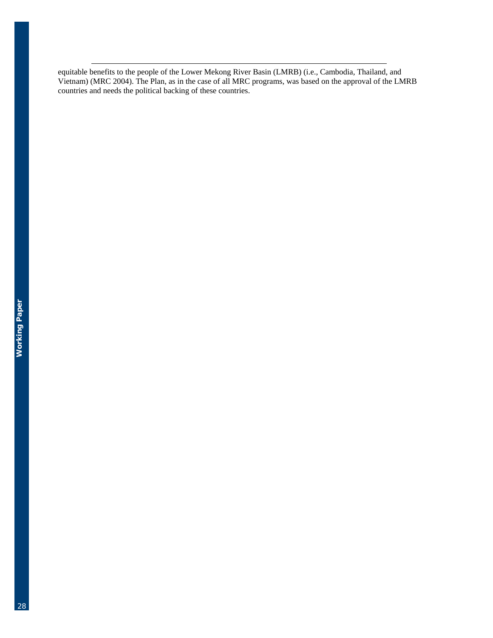equitable benefits to the people of the Lower Mekong River Basin (LMRB) (i.e., Cambodia, Thailand, and Vietnam) (MRC 2004). The Plan, as in the case of all MRC programs, was based on the approval of the LMRB countries and needs the political backing of these countries.

l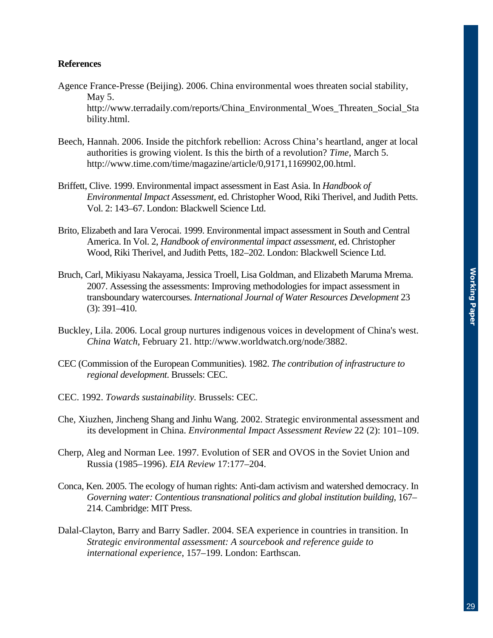## **References**

- Agence France-Presse (Beijing). 2006. China environmental woes threaten social stability, May 5. http://www.terradaily.com/reports/China\_Environmental\_Woes\_Threaten\_Social\_Sta bility.html.
- Beech, Hannah. 2006. Inside the pitchfork rebellion: Across China's heartland, anger at local authorities is growing violent. Is this the birth of a revolution? *Time*, March 5. http://www.time.com/time/magazine/article/0,9171,1169902,00.html.
- Briffett, Clive. 1999. Environmental impact assessment in East Asia. In *Handbook of Environmental Impact Assessment*, ed. Christopher Wood, Riki Therivel, and Judith Petts. Vol. 2: 143–67. London: Blackwell Science Ltd.
- Brito, Elizabeth and Iara Verocai. 1999. Environmental impact assessment in South and Central America. In Vol. 2, *Handbook of environmental impact assessment*, ed. Christopher Wood, Riki Therivel, and Judith Petts, 182–202. London: Blackwell Science Ltd.
- Bruch, Carl, Mikiyasu Nakayama, Jessica Troell, Lisa Goldman, and Elizabeth Maruma Mrema. 2007. Assessing the assessments: Improving methodologies for impact assessment in transboundary watercourses. *International Journal of Water Resources Development* 23 (3): 391–410.
- Buckley, Lila. 2006. Local group nurtures indigenous voices in development of China's west. *China Watch*, February 21. http://www.worldwatch.org/node/3882.
- CEC (Commission of the European Communities). 1982. *The contribution of infrastructure to regional development*. Brussels: CEC.
- CEC. 1992. *Towards sustainability.* Brussels: CEC.
- Che, Xiuzhen, Jincheng Shang and Jinhu Wang. 2002. Strategic environmental assessment and its development in China. *Environmental Impact Assessment Review* 22 (2): 101–109.
- Cherp, Aleg and Norman Lee. 1997. Evolution of SER and OVOS in the Soviet Union and Russia (1985–1996). *EIA Review* 17:177–204.
- Conca, Ken. 2005. The ecology of human rights: Anti-dam activism and watershed democracy. In *Governing water: Contentious transnational politics and global institution building*, 167– 214. Cambridge: MIT Press.
- Dalal-Clayton, Barry and Barry Sadler. 2004. SEA experience in countries in transition. In *Strategic environmental assessment: A sourcebook and reference guide to international experience*, 157–199. London: Earthscan.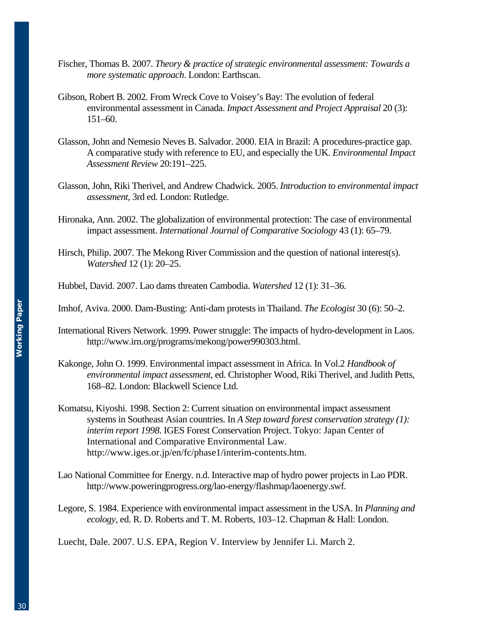- Fischer, Thomas B. 2007. *Theory & practice of strategic environmental assessment: Towards a more systematic approach*. London: Earthscan.
- Gibson, Robert B. 2002. From Wreck Cove to Voisey's Bay: The evolution of federal environmental assessment in Canada. *Impact Assessment and Project Appraisal* 20 (3): 151–60.
- Glasson, John and Nemesio Neves B. Salvador. 2000. EIA in Brazil: A procedures-practice gap. A comparative study with reference to EU, and especially the UK. *Environmental Impact Assessment Review* 20:191–225.
- Glasson, John, Riki Therivel, and Andrew Chadwick. 2005. *Introduction to environmental impact assessment,* 3rd ed. London: Rutledge.
- Hironaka, Ann. 2002. The globalization of environmental protection: The case of environmental impact assessment. *International Journal of Comparative Sociology* 43 (1): 65–79.
- Hirsch, Philip. 2007. The Mekong River Commission and the question of national interest(s). *Watershed* 12 (1): 20–25.
- Hubbel, David. 2007. Lao dams threaten Cambodia. *Watershed* 12 (1): 31–36.
- Imhof, Aviva. 2000. Dam-Busting: Anti-dam protests in Thailand. *The Ecologist* 30 (6): 50–2.
- International Rivers Network. 1999. Power struggle: The impacts of hydro-development in Laos. http://www.irn.org/programs/mekong/power990303.html.
- Kakonge, John O. 1999. Environmental impact assessment in Africa. In Vol.2 *Handbook of environmental impact assessment*, ed. Christopher Wood, Riki Therivel, and Judith Petts, 168–82. London: Blackwell Science Ltd.
- Komatsu, Kiyoshi. 1998. Section 2: Current situation on environmental impact assessment systems in Southeast Asian countries. In *A Step toward forest conservation strategy (1): interim report 1998*. IGES Forest Conservation Project. Tokyo: Japan Center of International and Comparative Environmental Law. http://www.iges.or.jp/en/fc/phase1/interim-contents.htm.
- Lao National Committee for Energy. n.d. Interactive map of hydro power projects in Lao PDR. http://www.poweringprogress.org/lao-energy/flashmap/laoenergy.swf.
- Legore, S. 1984. Experience with environmental impact assessment in the USA. In *Planning and ecology*, ed. R. D. Roberts and T. M. Roberts, 103–12. Chapman & Hall: London.
- Luecht, Dale. 2007. U.S. EPA, Region V. Interview by Jennifer Li. March 2.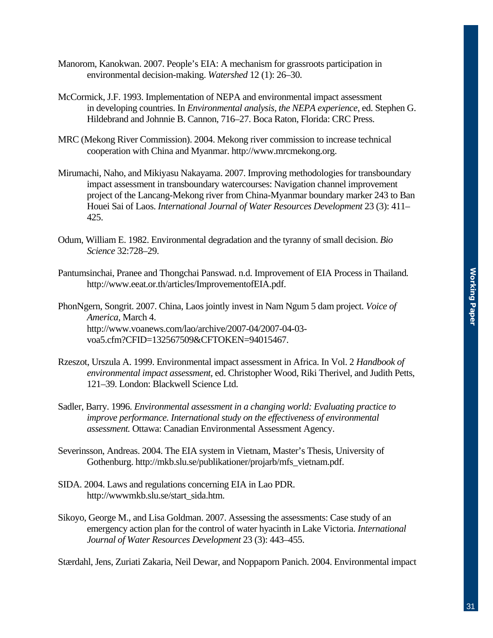- Manorom, Kanokwan. 2007. People's EIA: A mechanism for grassroots participation in environmental decision-making. *Watershed* 12 (1): 26–30.
- McCormick, J.F. 1993. Implementation of NEPA and environmental impact assessment in developing countries. In *Environmental analysis, the NEPA experience*, ed. Stephen G. Hildebrand and Johnnie B. Cannon, 716–27. Boca Raton, Florida: CRC Press.
- MRC (Mekong River Commission). 2004. Mekong river commission to increase technical cooperation with China and Myanmar. http://www.mrcmekong.org.
- Mirumachi, Naho, and Mikiyasu Nakayama. 2007. Improving methodologies for transboundary impact assessment in transboundary watercourses: Navigation channel improvement project of the Lancang-Mekong river from China-Myanmar boundary marker 243 to Ban Houei Sai of Laos. *International Journal of Water Resources Development* 23 (3): 411– 425.
- Odum, William E. 1982. Environmental degradation and the tyranny of small decision. *Bio Science* 32:728–29.
- Pantumsinchai, Pranee and Thongchai Panswad. n.d. Improvement of EIA Process in Thailand*.*  http://www.eeat.or.th/articles/ImprovementofEIA.pdf.

PhonNgern, Songrit. 2007. China, Laos jointly invest in Nam Ngum 5 dam project. *Voice of America*, March 4. http://www.voanews.com/lao/archive/2007-04/2007-04-03 voa5.cfm?CFID=132567509&CFTOKEN=94015467.

- Rzeszot, Urszula A. 1999. Environmental impact assessment in Africa. In Vol. 2 *Handbook of environmental impact assessment*, ed. Christopher Wood, Riki Therivel, and Judith Petts, 121–39. London: Blackwell Science Ltd.
- Sadler, Barry. 1996. *Environmental assessment in a changing world: Evaluating practice to improve performance. International study on the effectiveness of environmental assessment.* Ottawa: Canadian Environmental Assessment Agency.
- Severinsson, Andreas. 2004. The EIA system in Vietnam, Master's Thesis, University of Gothenburg. http://mkb.slu.se/publikationer/projarb/mfs\_vietnam.pdf.
- SIDA. 2004. Laws and regulations concerning EIA in Lao PDR. http://wwwmkb.slu.se/start\_sida.htm.
- Sikoyo, George M., and Lisa Goldman. 2007. Assessing the assessments: Case study of an emergency action plan for the control of water hyacinth in Lake Victoria. *International Journal of Water Resources Development* 23 (3): 443–455.

Stærdahl, Jens, Zuriati Zakaria, Neil Dewar, and Noppaporn Panich. 2004. Environmental impact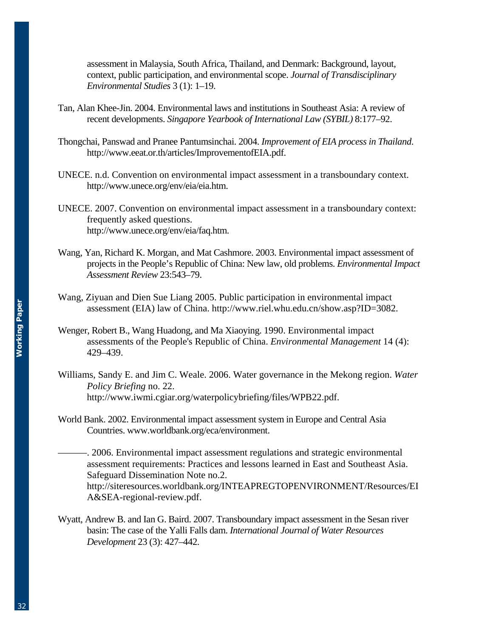assessment in Malaysia, South Africa, Thailand, and Denmark: Background, layout, context, public participation, and environmental scope. *Journal of Transdisciplinary Environmental Studies* 3 (1): 1–19.

- Tan, Alan Khee-Jin. 2004. Environmental laws and institutions in Southeast Asia: A review of recent developments. *Singapore Yearbook of International Law (SYBIL)* 8:177–92.
- Thongchai, Panswad and Pranee Pantumsinchai. 2004. *Improvement of EIA process in Thailand*. http://www.eeat.or.th/articles/ImprovementofEIA.pdf.
- UNECE. n.d. Convention on environmental impact assessment in a transboundary context. http://www.unece.org/env/eia/eia.htm.
- UNECE. 2007. Convention on environmental impact assessment in a transboundary context: frequently asked questions. http://www.unece.org/env/eia/faq.htm.
- Wang, Yan, Richard K. Morgan, and Mat Cashmore. 2003. Environmental impact assessment of projects in the People's Republic of China: New law, old problems. *Environmental Impact Assessment Review* 23:543–79.
- Wang, Ziyuan and Dien Sue Liang 2005. Public participation in environmental impact assessment (EIA) law of China. http://www.riel.whu.edu.cn/show.asp?ID=3082.
- Wenger, Robert B., Wang Huadong, and Ma Xiaoying. 1990. Environmental impact assessments of the People's Republic of China. *Environmental Management* 14 (4): 429–439.
- Williams, Sandy E. and Jim C. Weale. 2006. Water governance in the Mekong region. *Water Policy Briefing* no. 22. http://www.iwmi.cgiar.org/waterpolicybriefing/files/WPB22.pdf.
- World Bank. 2002. Environmental impact assessment system in Europe and Central Asia Countries. www.worldbank.org/eca/environment.
- ———. 2006. Environmental impact assessment regulations and strategic environmental assessment requirements: Practices and lessons learned in East and Southeast Asia. Safeguard Dissemination Note no.2. http://siteresources.worldbank.org/INTEAPREGTOPENVIRONMENT/Resources/EI A&SEA-regional-review.pdf.
- Wyatt, Andrew B. and Ian G. Baird. 2007. Transboundary impact assessment in the Sesan river basin: The case of the Yalli Falls dam. *International Journal of Water Resources Development* 23 (3): 427–442.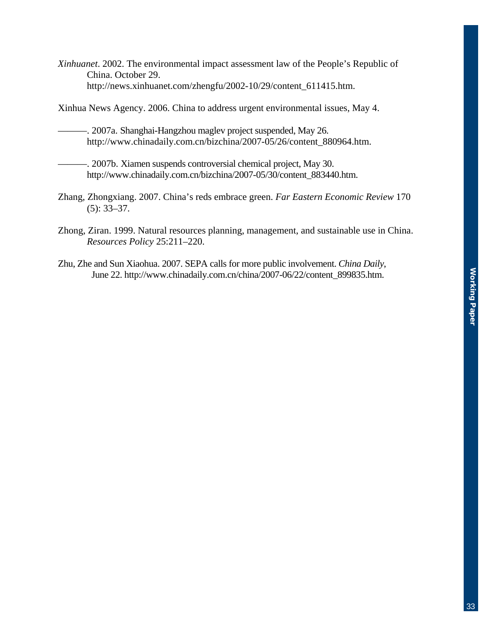*Xinhuanet*. 2002. The environmental impact assessment law of the People's Republic of China. October 29. http://news.xinhuanet.com/zhengfu/2002-10/29/content\_611415.htm.

Xinhua News Agency. 2006. China to address urgent environmental issues, May 4.

- ———. 2007a. Shanghai-Hangzhou maglev project suspended, May 26. http://www.chinadaily.com.cn/bizchina/2007-05/26/content\_880964.htm.
- ———. 2007b. Xiamen suspends controversial chemical project, May 30. http://www.chinadaily.com.cn/bizchina/2007-05/30/content\_883440.htm.
- Zhang, Zhongxiang. 2007. China's reds embrace green. *Far Eastern Economic Review* 170 (5): 33–37.
- Zhong, Ziran. 1999. Natural resources planning, management, and sustainable use in China. *Resources Policy* 25:211–220.
- Zhu, Zhe and Sun Xiaohua. 2007. SEPA calls for more public involvement. *China Daily*, June 22. http://www.chinadaily.com.cn/china/2007-06/22/content\_899835.htm.